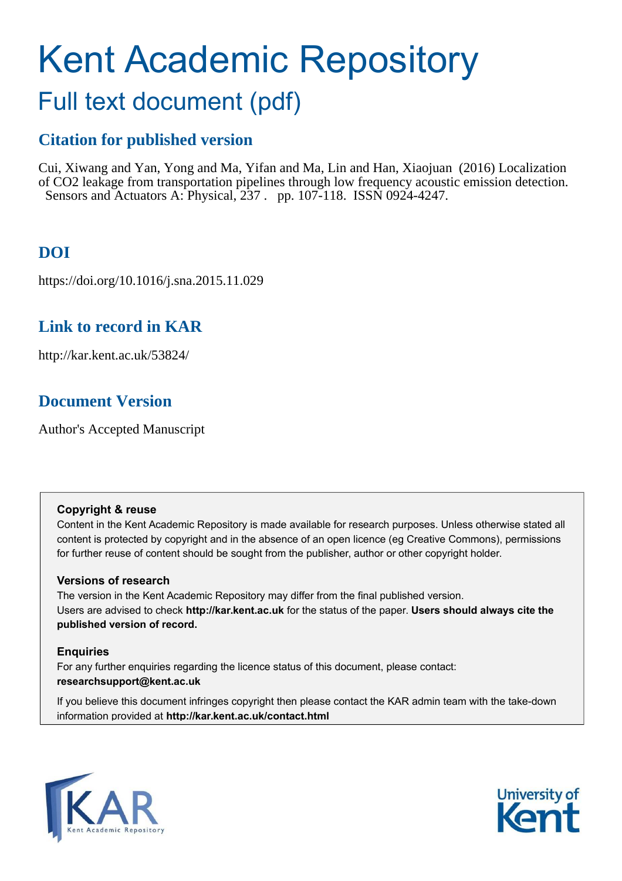# Kent Academic Repository

## Full text document (pdf)

## **Citation for published version**

Cui, Xiwang and Yan, Yong and Ma, Yifan and Ma, Lin and Han, Xiaojuan (2016) Localization of CO2 leakage from transportation pipelines through low frequency acoustic emission detection. Sensors and Actuators A: Physical, 237 . pp. 107-118. ISSN 0924-4247.

## **DOI**

https://doi.org/10.1016/j.sna.2015.11.029

## **Link to record in KAR**

http://kar.kent.ac.uk/53824/

## **Document Version**

Author's Accepted Manuscript

#### **Copyright & reuse**

Content in the Kent Academic Repository is made available for research purposes. Unless otherwise stated all content is protected by copyright and in the absence of an open licence (eg Creative Commons), permissions for further reuse of content should be sought from the publisher, author or other copyright holder.

#### **Versions of research**

The version in the Kent Academic Repository may differ from the final published version. Users are advised to check **http://kar.kent.ac.uk** for the status of the paper. **Users should always cite the published version of record.**

#### **Enquiries**

For any further enquiries regarding the licence status of this document, please contact: **researchsupport@kent.ac.uk**

If you believe this document infringes copyright then please contact the KAR admin team with the take-down information provided at **http://kar.kent.ac.uk/contact.html**



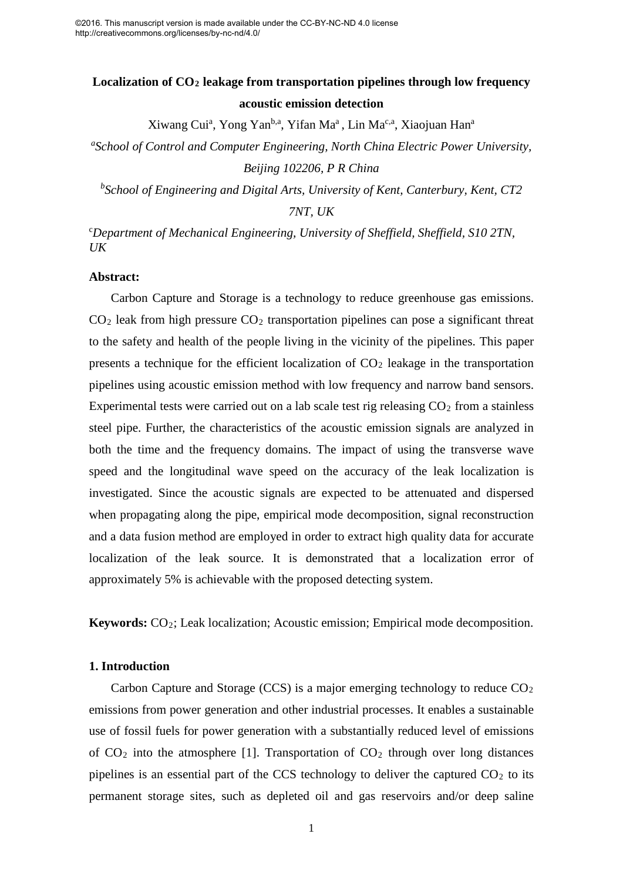### **Localization of CO<sup>2</sup> leakage from transportation pipelines through low frequency acoustic emission detection**

Xiwang Cui<sup>a</sup>, Yong Yan<sup>b,a</sup>, Yifan Ma<sup>a</sup>, Lin Ma<sup>c,a</sup>, Xiaojuan Han<sup>a</sup>

*a School of Control and Computer Engineering, North China Electric Power University, Beijing 102206, P R China* 

*b School of Engineering and Digital Arts, University of Kent, Canterbury, Kent, CT2 7NT, UK* 

<sup>c</sup>*Department of Mechanical Engineering, University of Sheffield, Sheffield, S10 2TN, UK*

#### **Abstract:**

Carbon Capture and Storage is a technology to reduce greenhouse gas emissions.  $CO<sub>2</sub>$  leak from high pressure  $CO<sub>2</sub>$  transportation pipelines can pose a significant threat to the safety and health of the people living in the vicinity of the pipelines. This paper presents a technique for the efficient localization of  $CO<sub>2</sub>$  leakage in the transportation pipelines using acoustic emission method with low frequency and narrow band sensors. Experimental tests were carried out on a lab scale test rig releasing  $CO<sub>2</sub>$  from a stainless steel pipe. Further, the characteristics of the acoustic emission signals are analyzed in both the time and the frequency domains. The impact of using the transverse wave speed and the longitudinal wave speed on the accuracy of the leak localization is investigated. Since the acoustic signals are expected to be attenuated and dispersed when propagating along the pipe, empirical mode decomposition, signal reconstruction and a data fusion method are employed in order to extract high quality data for accurate localization of the leak source. It is demonstrated that a localization error of approximately 5% is achievable with the proposed detecting system.

**Keywords:** CO2; Leak localization; Acoustic emission; Empirical mode decomposition.

#### **1. Introduction**

Carbon Capture and Storage (CCS) is a major emerging technology to reduce  $CO<sub>2</sub>$ emissions from power generation and other industrial processes. It enables a sustainable use of fossil fuels for power generation with a substantially reduced level of emissions of  $CO<sub>2</sub>$  into the atmosphere [1]. Transportation of  $CO<sub>2</sub>$  through over long distances pipelines is an essential part of the CCS technology to deliver the captured  $CO<sub>2</sub>$  to its permanent storage sites, such as depleted oil and gas reservoirs and/or deep saline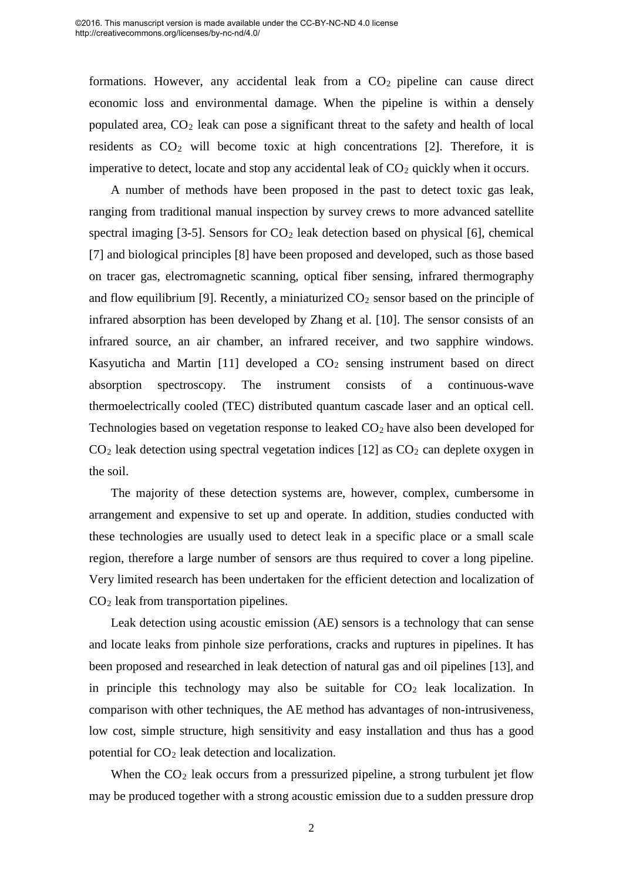formations. However, any accidental leak from a  $CO<sub>2</sub>$  pipeline can cause direct economic loss and environmental damage. When the pipeline is within a densely populated area, CO<sup>2</sup> leak can pose a significant threat to the safety and health of local residents as  $CO<sub>2</sub>$  will become toxic at high concentrations [2]. Therefore, it is imperative to detect, locate and stop any accidental leak of  $CO<sub>2</sub>$  quickly when it occurs.

A number of methods have been proposed in the past to detect toxic gas leak, ranging from traditional manual inspection by survey crews to more advanced satellite spectral imaging  $[3-5]$ . Sensors for  $CO<sub>2</sub>$  leak detection based on physical  $[6]$ , chemical [7] and biological principles [8] have been proposed and developed, such as those based on tracer gas, electromagnetic scanning, optical fiber sensing, infrared thermography and flow equilibrium [9]. Recently, a miniaturized  $CO<sub>2</sub>$  sensor based on the principle of infrared absorption has been developed by Zhang et al. [10]. The sensor consists of an infrared source, an air chamber, an infrared receiver, and two sapphire windows. Kasyuticha and Martin  $[11]$  developed a  $CO<sub>2</sub>$  sensing instrument based on direct absorption spectroscopy. The instrument consists of a continuous-wave thermoelectrically cooled (TEC) distributed quantum cascade laser and an optical cell. Technologies based on vegetation response to leaked CO<sub>2</sub> have also been developed for  $CO<sub>2</sub>$  leak detection using spectral vegetation indices [12] as  $CO<sub>2</sub>$  can deplete oxygen in the soil.

The majority of these detection systems are, however, complex, cumbersome in arrangement and expensive to set up and operate. In addition, studies conducted with these technologies are usually used to detect leak in a specific place or a small scale region, therefore a large number of sensors are thus required to cover a long pipeline. Very limited research has been undertaken for the efficient detection and localization of CO<sup>2</sup> leak from transportation pipelines.

Leak detection using acoustic emission (AE) sensors is a technology that can sense and locate leaks from pinhole size perforations, cracks and ruptures in pipelines. It has been proposed and researched in leak detection of natural gas and oil pipelines [13], and in principle this technology may also be suitable for  $CO<sub>2</sub>$  leak localization. In comparison with other techniques, the AE method has advantages of non-intrusiveness, low cost, simple structure, high sensitivity and easy installation and thus has a good potential for  $CO<sub>2</sub>$  leak detection and localization.

When the  $CO<sub>2</sub>$  leak occurs from a pressurized pipeline, a strong turbulent jet flow may be produced together with a strong acoustic emission due to a sudden pressure drop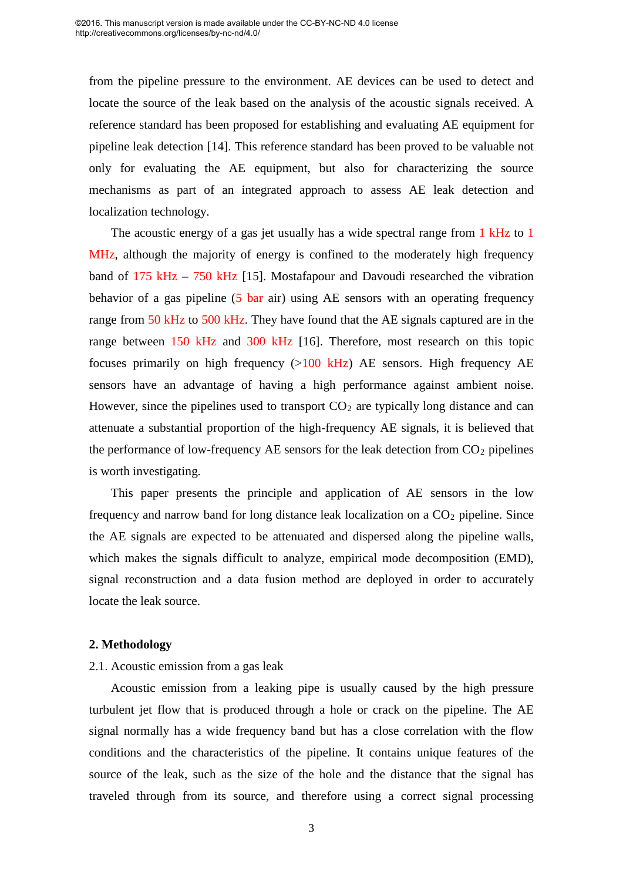from the pipeline pressure to the environment. AE devices can be used to detect and locate the source of the leak based on the analysis of the acoustic signals received. A reference standard has been proposed for establishing and evaluating AE equipment for pipeline leak detection [14]. This reference standard has been proved to be valuable not only for evaluating the AE equipment, but also for characterizing the source mechanisms as part of an integrated approach to assess AE leak detection and localization technology.

The acoustic energy of a gas jet usually has a wide spectral range from 1 kHz to 1 MHz, although the majority of energy is confined to the moderately high frequency band of 175 kHz – 750 kHz [15]. Mostafapour and Davoudi researched the vibration behavior of a gas pipeline (5 bar air) using AE sensors with an operating frequency range from 50 kHz to 500 kHz. They have found that the AE signals captured are in the range between 150 kHz and 300 kHz [16]. Therefore, most research on this topic focuses primarily on high frequency  $(>100$  kHz) AE sensors. High frequency AE sensors have an advantage of having a high performance against ambient noise. However, since the pipelines used to transport  $CO<sub>2</sub>$  are typically long distance and can attenuate a substantial proportion of the high-frequency AE signals, it is believed that the performance of low-frequency AE sensors for the leak detection from  $CO<sub>2</sub>$  pipelines is worth investigating.

This paper presents the principle and application of AE sensors in the low frequency and narrow band for long distance leak localization on a  $CO<sub>2</sub>$  pipeline. Since the AE signals are expected to be attenuated and dispersed along the pipeline walls, which makes the signals difficult to analyze, empirical mode decomposition (EMD), signal reconstruction and a data fusion method are deployed in order to accurately locate the leak source.

#### **2. Methodology**

#### 2.1. Acoustic emission from a gas leak

Acoustic emission from a leaking pipe is usually caused by the high pressure turbulent jet flow that is produced through a hole or crack on the pipeline. The AE signal normally has a wide frequency band but has a close correlation with the flow conditions and the characteristics of the pipeline. It contains unique features of the source of the leak, such as the size of the hole and the distance that the signal has traveled through from its source, and therefore using a correct signal processing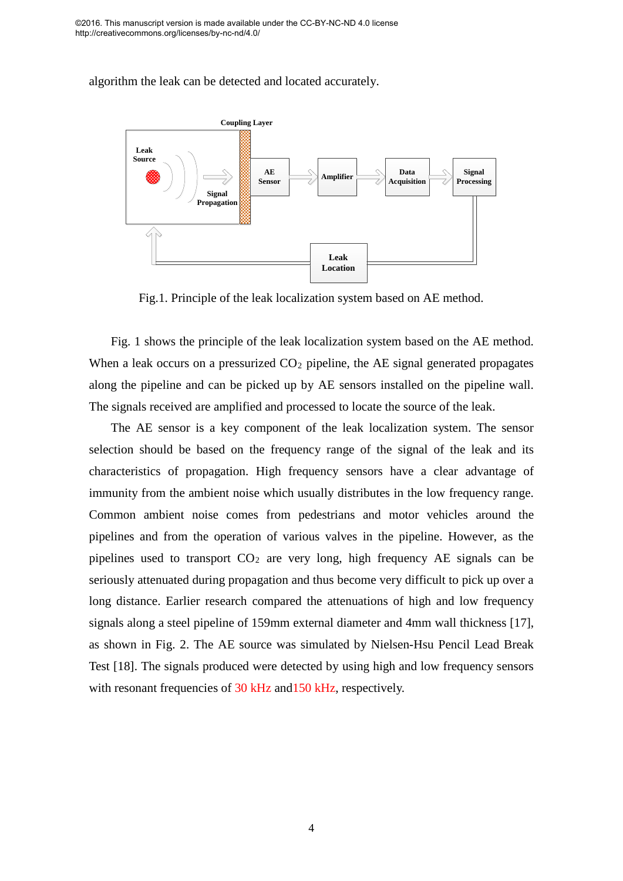algorithm the leak can be detected and located accurately.



Fig.1. Principle of the leak localization system based on AE method.

Fig. 1 shows the principle of the leak localization system based on the AE method. When a leak occurs on a pressurized  $CO<sub>2</sub>$  pipeline, the AE signal generated propagates along the pipeline and can be picked up by AE sensors installed on the pipeline wall. The signals received are amplified and processed to locate the source of the leak.

The AE sensor is a key component of the leak localization system. The sensor selection should be based on the frequency range of the signal of the leak and its characteristics of propagation. High frequency sensors have a clear advantage of immunity from the ambient noise which usually distributes in the low frequency range. Common ambient noise comes from pedestrians and motor vehicles around the pipelines and from the operation of various valves in the pipeline. However, as the pipelines used to transport  $CO<sub>2</sub>$  are very long, high frequency AE signals can be seriously attenuated during propagation and thus become very difficult to pick up over a long distance. Earlier research compared the attenuations of high and low frequency signals along a steel pipeline of 159mm external diameter and 4mm wall thickness [17], as shown in Fig. 2. The AE source was simulated by Nielsen-Hsu Pencil Lead Break Test [18]. The signals produced were detected by using high and low frequency sensors with resonant frequencies of 30 kHz and 150 kHz, respectively.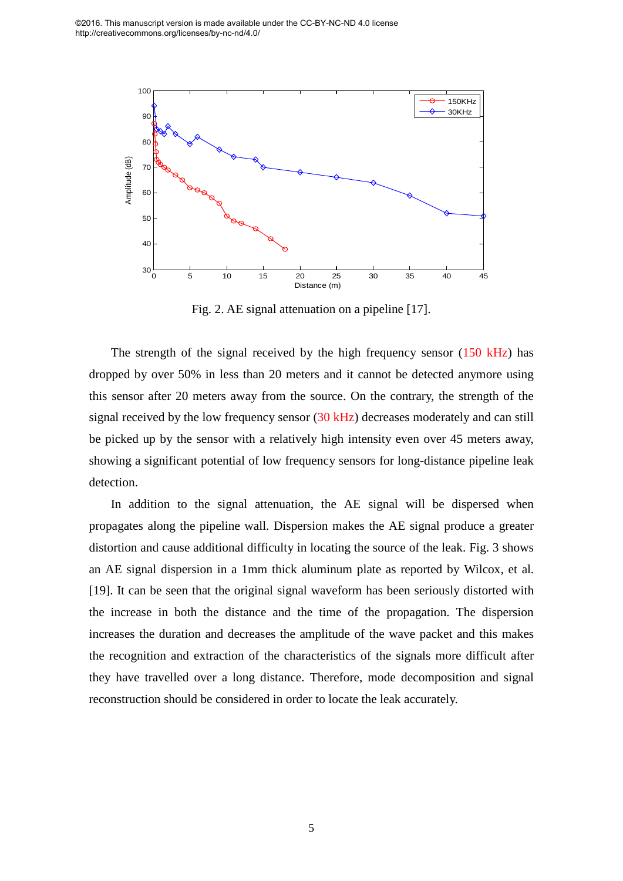

Fig. 2. AE signal attenuation on a pipeline [17].

The strength of the signal received by the high frequency sensor  $(150 \text{ kHz})$  has dropped by over 50% in less than 20 meters and it cannot be detected anymore using this sensor after 20 meters away from the source. On the contrary, the strength of the signal received by the low frequency sensor (30 kHz) decreases moderately and can still be picked up by the sensor with a relatively high intensity even over 45 meters away, showing a significant potential of low frequency sensors for long-distance pipeline leak detection.

In addition to the signal attenuation, the AE signal will be dispersed when propagates along the pipeline wall. Dispersion makes the AE signal produce a greater distortion and cause additional difficulty in locating the source of the leak. Fig. 3 shows an AE signal dispersion in a 1mm thick aluminum plate as reported by Wilcox, et al. [19]. It can be seen that the original signal waveform has been seriously distorted with the increase in both the distance and the time of the propagation. The dispersion increases the duration and decreases the amplitude of the wave packet and this makes the recognition and extraction of the characteristics of the signals more difficult after they have travelled over a long distance. Therefore, mode decomposition and signal reconstruction should be considered in order to locate the leak accurately.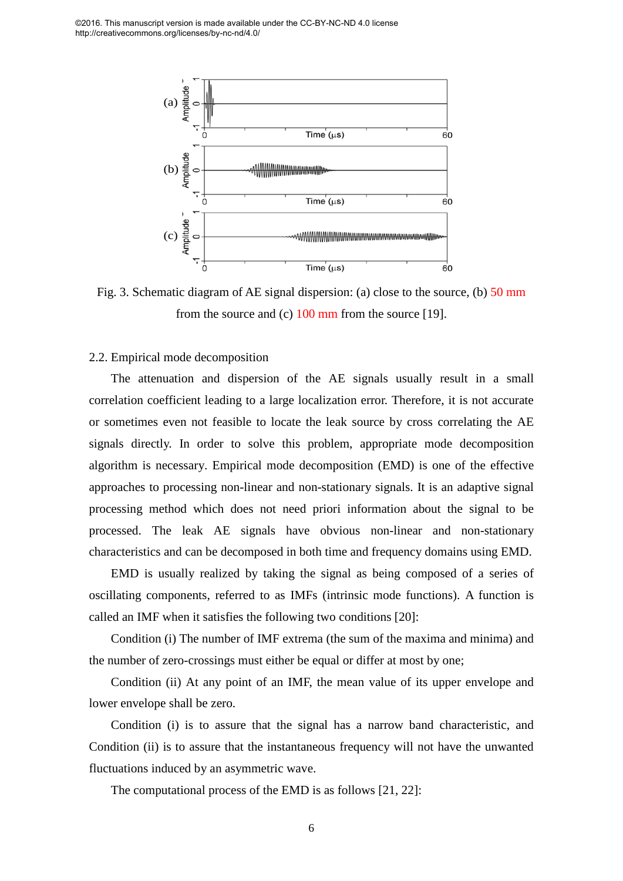

Fig. 3. Schematic diagram of AE signal dispersion: (a) close to the source, (b) 50 mm from the source and (c)  $100 \text{ mm}$  from the source [19].

#### 2.2. Empirical mode decomposition

The attenuation and dispersion of the AE signals usually result in a small correlation coefficient leading to a large localization error. Therefore, it is not accurate or sometimes even not feasible to locate the leak source by cross correlating the AE signals directly. In order to solve this problem, appropriate mode decomposition algorithm is necessary. Empirical mode decomposition (EMD) is one of the effective approaches to processing non-linear and non-stationary signals. It is an adaptive signal processing method which does not need priori information about the signal to be processed. The leak AE signals have obvious non-linear and non-stationary characteristics and can be decomposed in both time and frequency domains using EMD.

EMD is usually realized by taking the signal as being composed of a series of oscillating components, referred to as IMFs (intrinsic mode functions). A function is called an IMF when it satisfies the following two conditions [20]:

Condition (i) The number of IMF extrema (the sum of the maxima and minima) and the number of zero-crossings must either be equal or differ at most by one;

Condition (ii) At any point of an IMF, the mean value of its upper envelope and lower envelope shall be zero.

Condition (i) is to assure that the signal has a narrow band characteristic, and Condition (ii) is to assure that the instantaneous frequency will not have the unwanted fluctuations induced by an asymmetric wave.

The computational process of the EMD is as follows [21, 22]: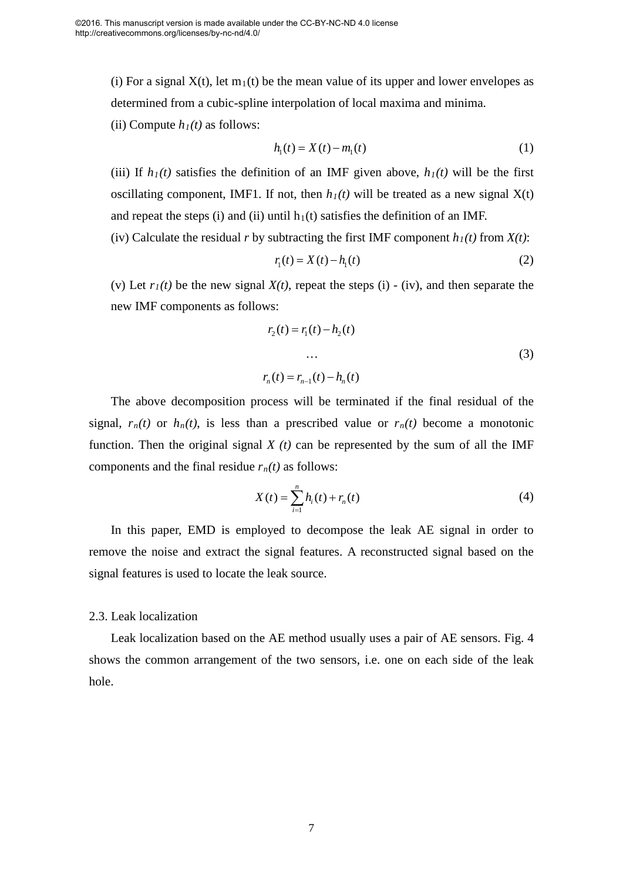(i) For a signal  $X(t)$ , let  $m_1(t)$  be the mean value of its upper and lower envelopes as determined from a cubic-spline interpolation of local maxima and minima.

(ii) Compute  $h_1(t)$  as follows:

$$
h_1(t) = X(t) - m_1(t)
$$
 (1)

(iii) If  $h_1(t)$  satisfies the definition of an IMF given above,  $h_1(t)$  will be the first oscillating component, IMF1. If not, then  $h_1(t)$  will be treated as a new signal  $X(t)$ and repeat the steps (i) and (ii) until  $h_1(t)$  satisfies the definition of an IMF.

(iv) Calculate the residual *r* by subtracting the first IMF component *h1(t)* from *X(t)*:

$$
r_1(t) = X(t) - h_1(t)
$$
 (2)

(v) Let  $r_I(t)$  be the new signal  $X(t)$ , repeat the steps (i) - (iv), and then separate the new IMF components as follows:

$$
r_2(t) = r_1(t) - h_2(t)
$$
  
...  

$$
r_n(t) = r_{n-1}(t) - h_n(t)
$$
 (3)

The above decomposition process will be terminated if the final residual of the signal,  $r_n(t)$  or  $h_n(t)$ , is less than a prescribed value or  $r_n(t)$  become a monotonic function. Then the original signal  $X(t)$  can be represented by the sum of all the IMF components and the final residue  $r_n(t)$  as follows:

$$
X(t) = \sum_{i=1}^{n} h_i(t) + r_n(t)
$$
\n(4)

In this paper, EMD is employed to decompose the leak AE signal in order to remove the noise and extract the signal features. A reconstructed signal based on the signal features is used to locate the leak source.

#### 2.3. Leak localization

Leak localization based on the AE method usually uses a pair of AE sensors. Fig. 4 shows the common arrangement of the two sensors, i.e. one on each side of the leak hole.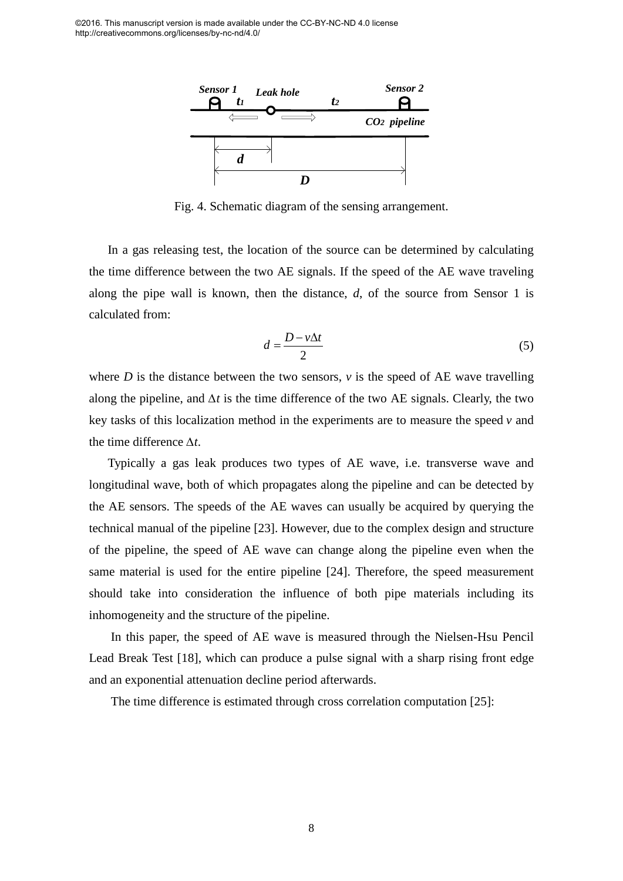

Fig. 4. Schematic diagram of the sensing arrangement.

In a gas releasing test, the location of the source can be determined by calculating the time difference between the two AE signals. If the speed of the AE wave traveling along the pipe wall is known, then the distance, *d*, of the source from Sensor 1 is calculated from:

$$
d = \frac{D - v\Delta t}{2} \tag{5}
$$

where  $D$  is the distance between the two sensors,  $\nu$  is the speed of AE wave travelling along the pipeline, and *∆t* is the time difference of the two AE signals. Clearly, the two key tasks of this localization method in the experiments are to measure the speed *v* and the time difference *∆t*.

Typically a gas leak produces two types of AE wave, i.e. transverse wave and longitudinal wave, both of which propagates along the pipeline and can be detected by the AE sensors. The speeds of the AE waves can usually be acquired by querying the technical manual of the pipeline [23]. However, due to the complex design and structure of the pipeline, the speed of AE wave can change along the pipeline even when the same material is used for the entire pipeline [24]. Therefore, the speed measurement should take into consideration the influence of both pipe materials including its inhomogeneity and the structure of the pipeline.

In this paper, the speed of AE wave is measured through the Nielsen-Hsu Pencil Lead Break Test [18], which can produce a pulse signal with a sharp rising front edge and an exponential attenuation decline period afterwards.

The time difference is estimated through cross correlation computation [25]: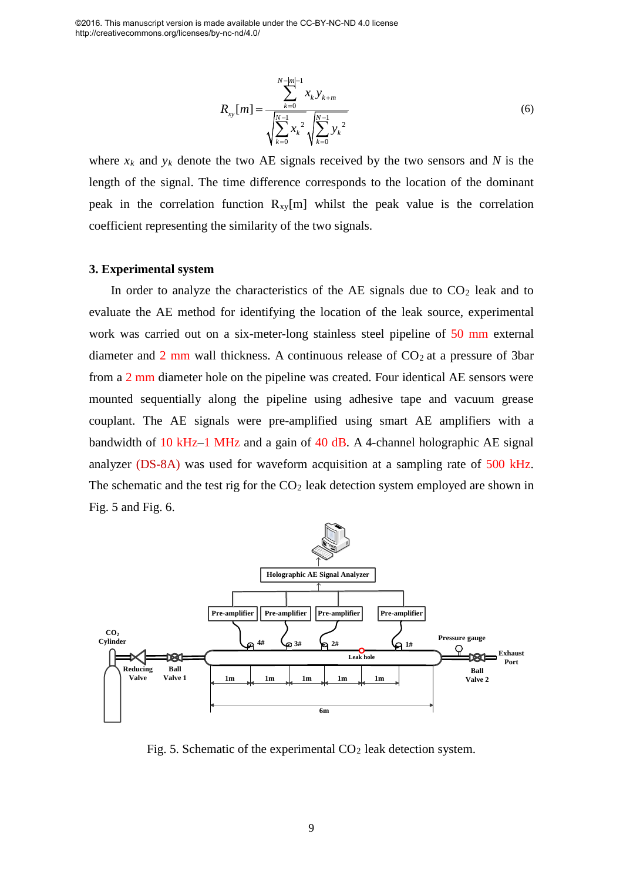$$
R_{xy}[m] = \frac{\sum_{k=0}^{N-|m|-1} x_k y_{k+m}}{\sqrt{\sum_{k=0}^{N-1} x_k^2} \sqrt{\sum_{k=0}^{N-1} y_k^2}}
$$
(6)

where  $x_k$  and  $y_k$  denote the two AE signals received by the two sensors and N is the length of the signal. The time difference corresponds to the location of the dominant peak in the correlation function  $R_{xy}[m]$  whilst the peak value is the correlation coefficient representing the similarity of the two signals.

#### **3. Experimental system**

In order to analyze the characteristics of the AE signals due to  $CO<sub>2</sub>$  leak and to evaluate the AE method for identifying the location of the leak source, experimental work was carried out on a six-meter-long stainless steel pipeline of 50 mm external diameter and  $2 \text{ mm}$  wall thickness. A continuous release of  $CO<sub>2</sub>$  at a pressure of 3bar from a 2 mm diameter hole on the pipeline was created. Four identical AE sensors were mounted sequentially along the pipeline using adhesive tape and vacuum grease couplant. The AE signals were pre-amplified using smart AE amplifiers with a bandwidth of 10 kHz–1 MHz and a gain of 40 dB. A 4-channel holographic AE signal analyzer (DS-8A) was used for waveform acquisition at a sampling rate of 500 kHz. The schematic and the test rig for the  $CO<sub>2</sub>$  leak detection system employed are shown in Fig. 5 and Fig. 6.



Fig. 5. Schematic of the experimental  $CO<sub>2</sub>$  leak detection system.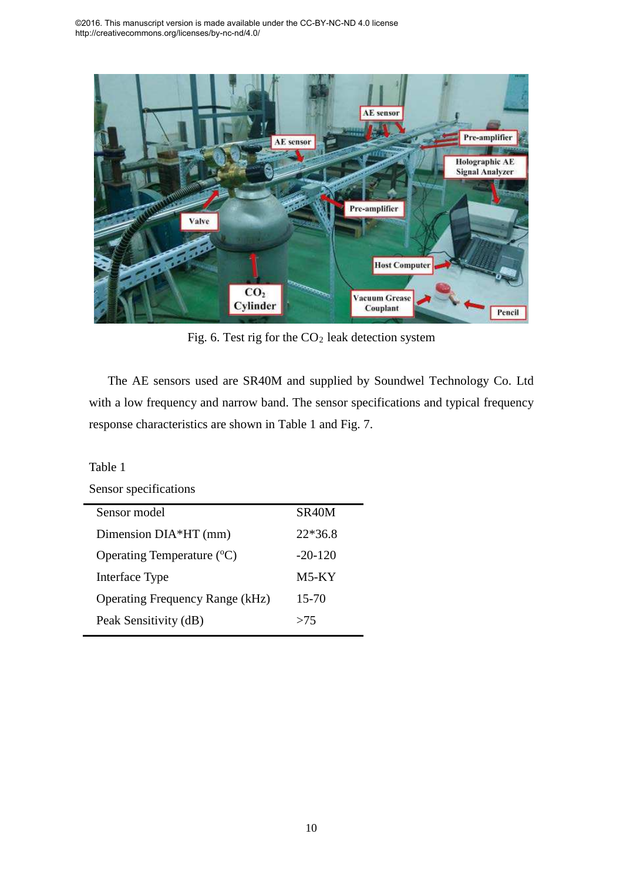

Fig. 6. Test rig for the  $CO<sub>2</sub>$  leak detection system

The AE sensors used are SR40M and supplied by Soundwel Technology Co. Ltd with a low frequency and narrow band. The sensor specifications and typical frequency response characteristics are shown in Table 1 and Fig. 7.

| Table 1                                |                    |  |  |  |  |
|----------------------------------------|--------------------|--|--|--|--|
| Sensor specifications                  |                    |  |  |  |  |
| Sensor model                           | SR <sub>40</sub> M |  |  |  |  |
| Dimension DIA*HT (mm)                  | $22*36.8$          |  |  |  |  |
| Operating Temperature $({}^{\circ}C)$  | $-20-120$          |  |  |  |  |
| Interface Type                         | $M5-KY$            |  |  |  |  |
| <b>Operating Frequency Range (kHz)</b> | 15-70              |  |  |  |  |
| Peak Sensitivity (dB)                  | >75                |  |  |  |  |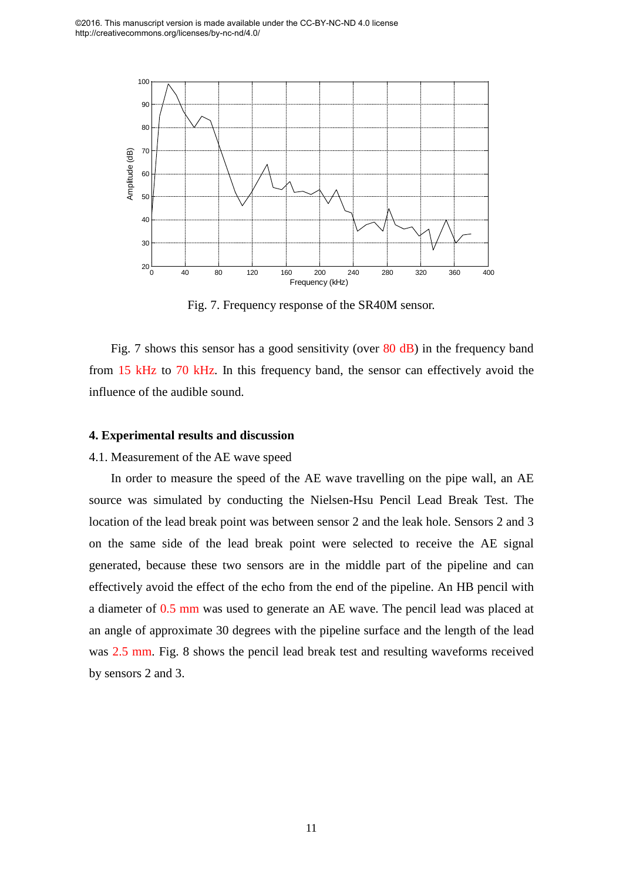

Fig. 7. Frequency response of the SR40M sensor.

Fig. 7 shows this sensor has a good sensitivity (over 80 dB) in the frequency band from 15 kHz to 70 kHz. In this frequency band, the sensor can effectively avoid the influence of the audible sound.

#### **4. Experimental results and discussion**

#### 4.1. Measurement of the AE wave speed

In order to measure the speed of the AE wave travelling on the pipe wall, an AE source was simulated by conducting the Nielsen-Hsu Pencil Lead Break Test. The location of the lead break point was between sensor 2 and the leak hole. Sensors 2 and 3 on the same side of the lead break point were selected to receive the AE signal generated, because these two sensors are in the middle part of the pipeline and can effectively avoid the effect of the echo from the end of the pipeline. An HB pencil with a diameter of 0.5 mm was used to generate an AE wave. The pencil lead was placed at an angle of approximate 30 degrees with the pipeline surface and the length of the lead was 2.5 mm. Fig. 8 shows the pencil lead break test and resulting waveforms received by sensors 2 and 3.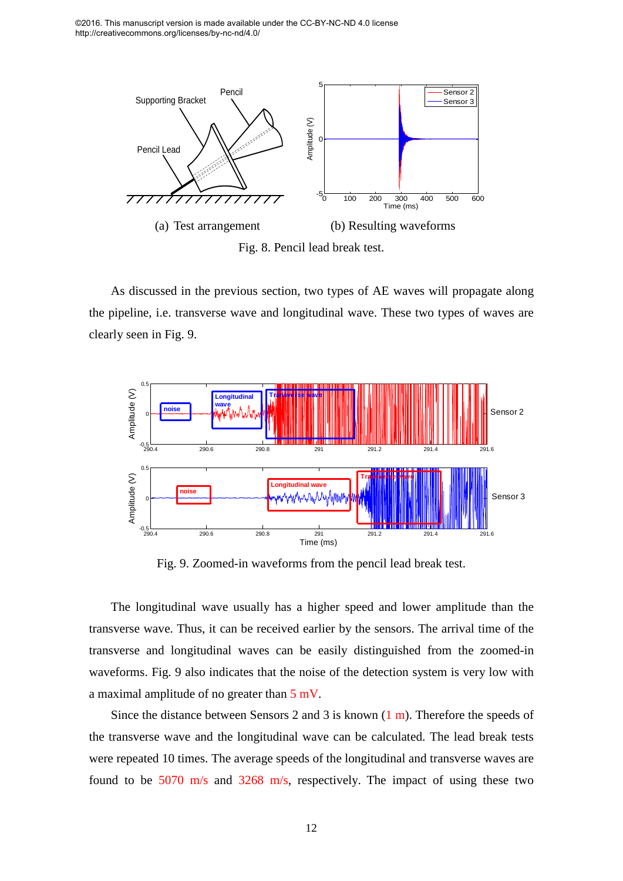

As discussed in the previous section, two types of AE waves will propagate along the pipeline, i.e. transverse wave and longitudinal wave. These two types of waves are clearly seen in Fig. 9.



Fig. 9. Zoomed-in waveforms from the pencil lead break test.

The longitudinal wave usually has a higher speed and lower amplitude than the transverse wave. Thus, it can be received earlier by the sensors. The arrival time of the transverse and longitudinal waves can be easily distinguished from the zoomed-in waveforms. Fig. 9 also indicates that the noise of the detection system is very low with a maximal amplitude of no greater than 5 mV.

Since the distance between Sensors 2 and 3 is known  $(1 \text{ m})$ . Therefore the speeds of the transverse wave and the longitudinal wave can be calculated. The lead break tests were repeated 10 times. The average speeds of the longitudinal and transverse waves are found to be 5070 m/s and 3268 m/s, respectively. The impact of using these two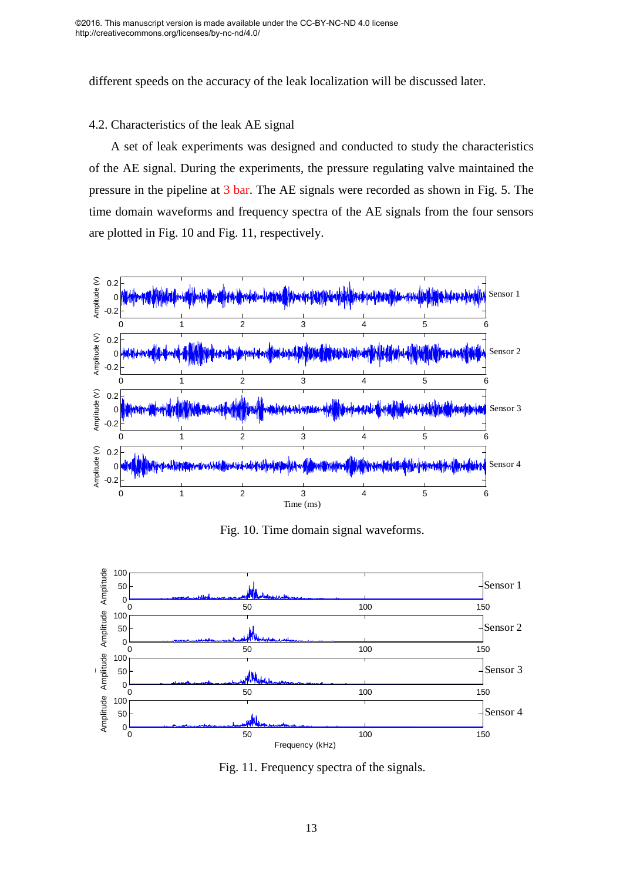different speeds on the accuracy of the leak localization will be discussed later.

#### 4.2. Characteristics of the leak AE signal

A set of leak experiments was designed and conducted to study the characteristics of the AE signal. During the experiments, the pressure regulating valve maintained the pressure in the pipeline at 3 bar. The AE signals were recorded as shown in Fig. 5. The time domain waveforms and frequency spectra of the AE signals from the four sensors are plotted in Fig. 10 and Fig. 11, respectively.



Fig. 10. Time domain signal waveforms.



Fig. 11. Frequency spectra of the signals.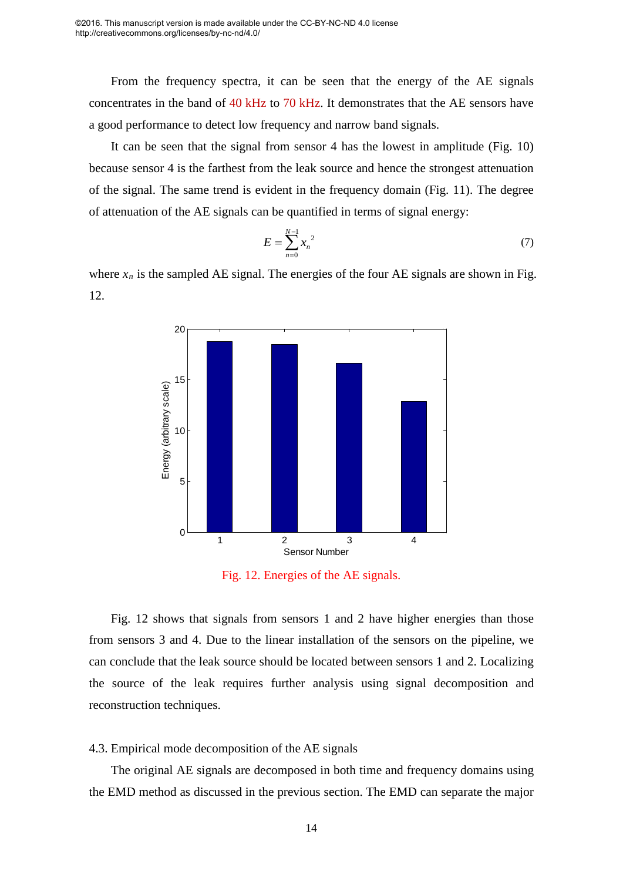From the frequency spectra, it can be seen that the energy of the AE signals concentrates in the band of 40 kHz to 70 kHz. It demonstrates that the AE sensors have a good performance to detect low frequency and narrow band signals.

It can be seen that the signal from sensor 4 has the lowest in amplitude (Fig. 10) because sensor 4 is the farthest from the leak source and hence the strongest attenuation of the signal. The same trend is evident in the frequency domain (Fig. 11). The degree of attenuation of the AE signals can be quantified in terms of signal energy:

$$
E = \sum_{n=0}^{N-1} x_n^2 \tag{7}
$$

where  $x_n$  is the sampled AE signal. The energies of the four AE signals are shown in Fig. 12.



Fig. 12. Energies of the AE signals.

Fig. 12 shows that signals from sensors 1 and 2 have higher energies than those from sensors 3 and 4. Due to the linear installation of the sensors on the pipeline, we can conclude that the leak source should be located between sensors 1 and 2. Localizing the source of the leak requires further analysis using signal decomposition and reconstruction techniques.

#### 4.3. Empirical mode decomposition of the AE signals

The original AE signals are decomposed in both time and frequency domains using the EMD method as discussed in the previous section. The EMD can separate the major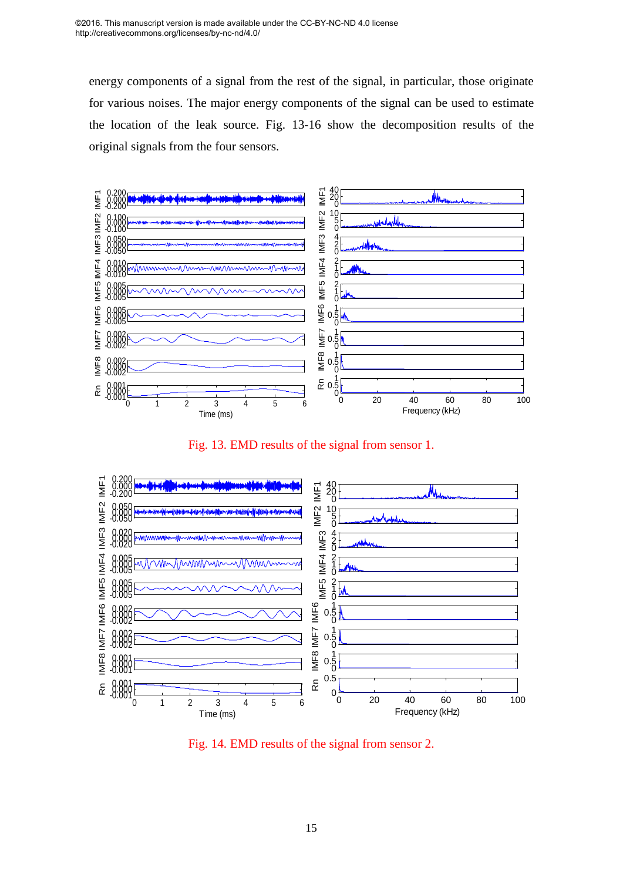energy components of a signal from the rest of the signal, in particular, those originate for various noises. The major energy components of the signal can be used to estimate the location of the leak source. Fig. 13-16 show the decomposition results of the original signals from the four sensors.



Fig. 13. EMD results of the signal from sensor 1.



Fig. 14. EMD results of the signal from sensor 2.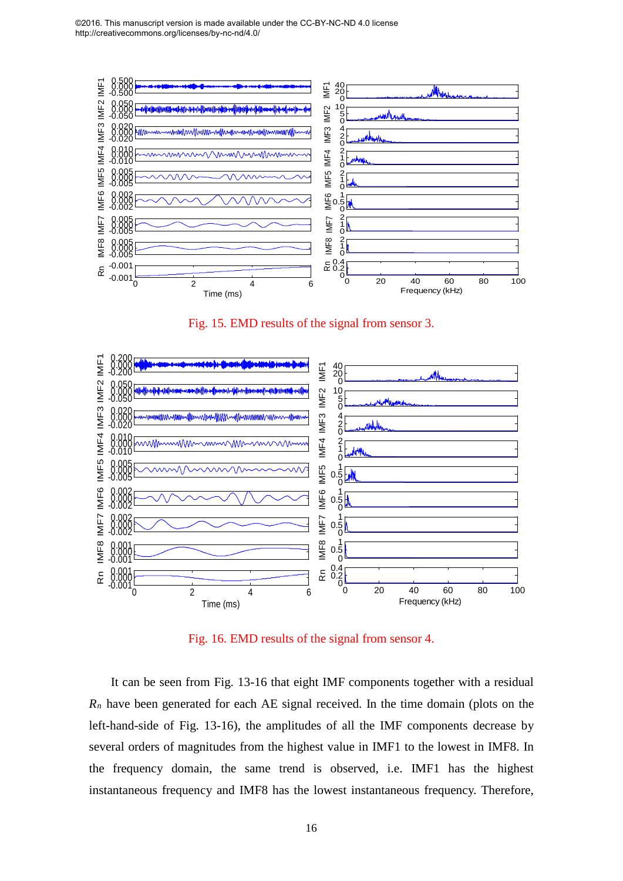

Fig. 15. EMD results of the signal from sensor 3.



Fig. 16. EMD results of the signal from sensor 4.

It can be seen from Fig. 13-16 that eight IMF components together with a residual  $R_n$  have been generated for each AE signal received. In the time domain (plots on the left-hand-side of Fig. 13-16), the amplitudes of all the IMF components decrease by several orders of magnitudes from the highest value in IMF1 to the lowest in IMF8. In the frequency domain, the same trend is observed, i.e. IMF1 has the highest instantaneous frequency and IMF8 has the lowest instantaneous frequency. Therefore,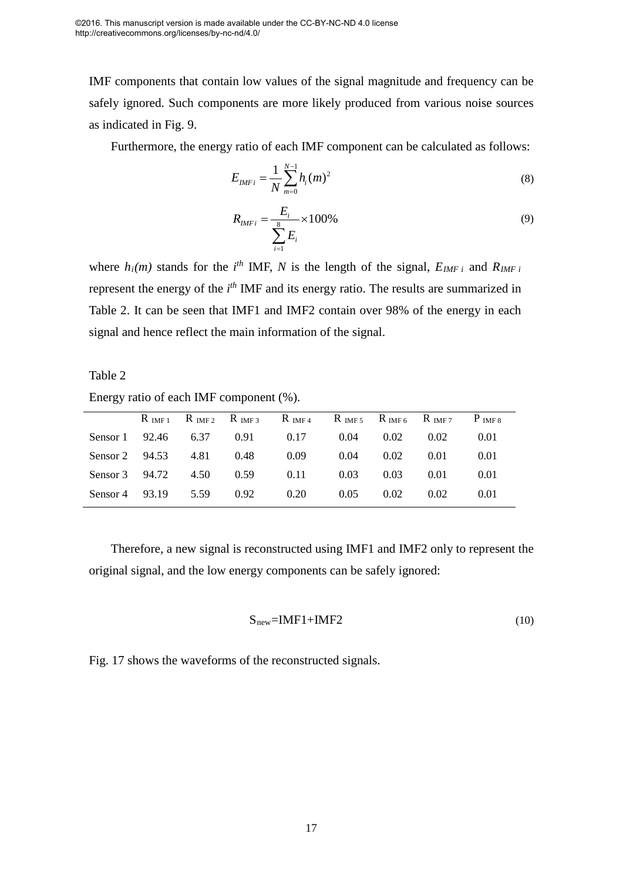IMF components that contain low values of the signal magnitude and frequency can be safely ignored. Such components are more likely produced from various noise sources as indicated in Fig. 9.

Furthermore, the energy ratio of each IMF component can be calculated as follows:

$$
E_{IMFi} = \frac{1}{N} \sum_{m=0}^{N-1} h_i(m)^2
$$
 (8)

$$
R_{IMFi} = \frac{E_i}{\sum_{i=1}^{8} E_i} \times 100\%
$$
\n(9)

where  $h_i(m)$  stands for the  $i^{th}$  IMF, N is the length of the signal,  $E_{IMF i}$  and  $R_{IMF i}$ represent the energy of the *i*<sup>th</sup> IMF and its energy ratio. The results are summarized in Table 2. It can be seen that IMF1 and IMF2 contain over 98% of the energy in each signal and hence reflect the main information of the signal.

Table 2 Energy ratio of each IMF component (%).

|                        |      |      | $R_{IMF1}$ $R_{IMF2}$ $R_{IMF3}$ $R_{IMF4}$ $R_{IMF5}$ $R_{IMF6}$ $R_{IMF7}$ $P_{IMF8}$ |      |      |      |      |
|------------------------|------|------|-----------------------------------------------------------------------------------------|------|------|------|------|
| Sensor $1 \quad 92.46$ | 6.37 | 0.91 | 0.17                                                                                    | 0.04 | 0.02 | 0.02 | 0.01 |
| Sensor $2 \quad 94.53$ | 4.81 | 0.48 | 0.09                                                                                    | 0.04 | 0.02 | 0.01 | 0.01 |
| Sensor $3$ 94.72       | 4.50 | 0.59 | 0.11                                                                                    | 0.03 | 0.03 | 0.01 | 0.01 |
| Sensor $4$ 93.19       | 5.59 | 0.92 | 0.20                                                                                    | 0.05 | 0.02 | 0.02 | 0.01 |

Therefore, a new signal is reconstructed using IMF1 and IMF2 only to represent the original signal, and the low energy components can be safely ignored:

$$
Snew=IMF1+IMF2
$$
 (10)

Fig. 17 shows the waveforms of the reconstructed signals.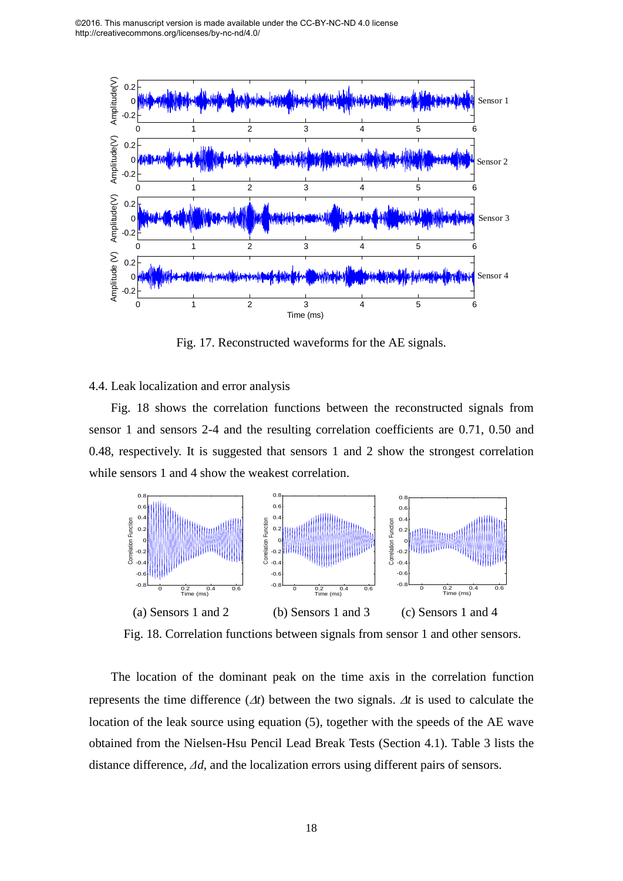

Fig. 17. Reconstructed waveforms for the AE signals.

#### 4.4. Leak localization and error analysis

Fig. 18 shows the correlation functions between the reconstructed signals from sensor 1 and sensors 2-4 and the resulting correlation coefficients are 0.71, 0.50 and 0.48, respectively. It is suggested that sensors 1 and 2 show the strongest correlation while sensors 1 and 4 show the weakest correlation.



Fig. 18. Correlation functions between signals from sensor 1 and other sensors.

The location of the dominant peak on the time axis in the correlation function represents the time difference (∆*t*) between the two signals. ∆*t* is used to calculate the location of the leak source using equation (5), together with the speeds of the AE wave obtained from the Nielsen-Hsu Pencil Lead Break Tests (Section 4.1). Table 3 lists the distance difference,  $\Delta d$ , and the localization errors using different pairs of sensors.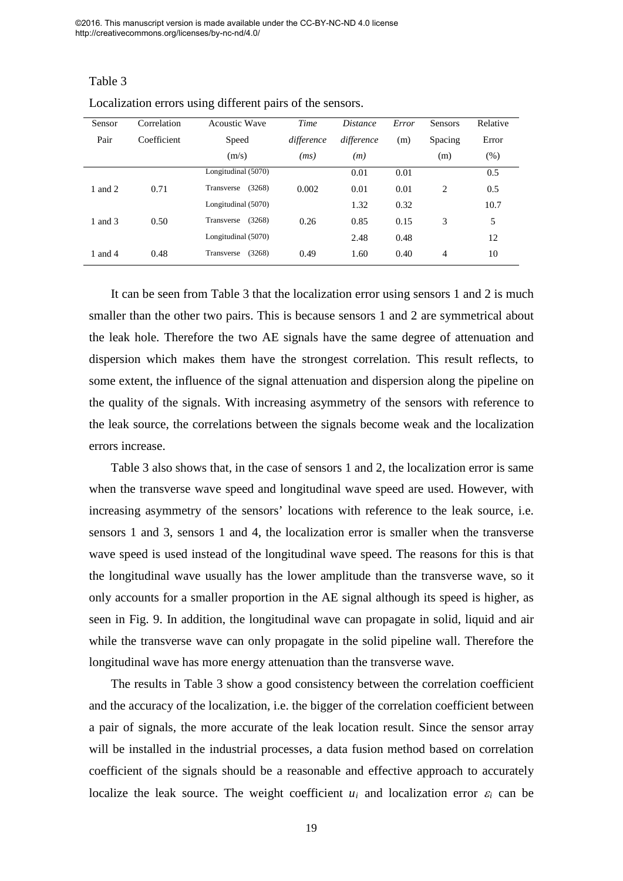Table 3

| Sensor  | Correlation | <b>Acoustic Wave</b> | Time       | <i>Distance</i> | Error | Sensors        | Relative |
|---------|-------------|----------------------|------------|-----------------|-------|----------------|----------|
| Pair    | Coefficient | Speed                | difference | difference      | (m)   | Spacing        | Error    |
|         |             | (m/s)                | (ms)       | (m)             |       | (m)            | (% )     |
|         |             | Longitudinal (5070)  |            | 0.01            | 0.01  |                | 0.5      |
| 1 and 2 | 0.71        | (3268)<br>Transverse | 0.002      | 0.01            | 0.01  | $\overline{c}$ | 0.5      |
|         |             | Longitudinal (5070)  |            | 1.32            | 0.32  |                | 10.7     |
| 1 and 3 | 0.50        | (3268)<br>Transverse | 0.26       | 0.85            | 0.15  | 3              | 5        |
|         |             | Longitudinal (5070)  |            | 2.48            | 0.48  |                | 12       |
| 1 and 4 | 0.48        | (3268)<br>Transverse | 0.49       | 1.60            | 0.40  | $\overline{4}$ | 10       |

Localization errors using different pairs of the sensors.

It can be seen from Table 3 that the localization error using sensors 1 and 2 is much smaller than the other two pairs. This is because sensors 1 and 2 are symmetrical about the leak hole. Therefore the two AE signals have the same degree of attenuation and dispersion which makes them have the strongest correlation. This result reflects, to some extent, the influence of the signal attenuation and dispersion along the pipeline on the quality of the signals. With increasing asymmetry of the sensors with reference to the leak source, the correlations between the signals become weak and the localization errors increase.

Table 3 also shows that, in the case of sensors 1 and 2, the localization error is same when the transverse wave speed and longitudinal wave speed are used. However, with increasing asymmetry of the sensors' locations with reference to the leak source, i.e. sensors 1 and 3, sensors 1 and 4, the localization error is smaller when the transverse wave speed is used instead of the longitudinal wave speed. The reasons for this is that the longitudinal wave usually has the lower amplitude than the transverse wave, so it only accounts for a smaller proportion in the AE signal although its speed is higher, as seen in Fig. 9. In addition, the longitudinal wave can propagate in solid, liquid and air while the transverse wave can only propagate in the solid pipeline wall. Therefore the longitudinal wave has more energy attenuation than the transverse wave.

The results in Table 3 show a good consistency between the correlation coefficient and the accuracy of the localization, i.e. the bigger of the correlation coefficient between a pair of signals, the more accurate of the leak location result. Since the sensor array will be installed in the industrial processes, a data fusion method based on correlation coefficient of the signals should be a reasonable and effective approach to accurately localize the leak source. The weight coefficient  $u_i$  and localization error  $\varepsilon_i$  can be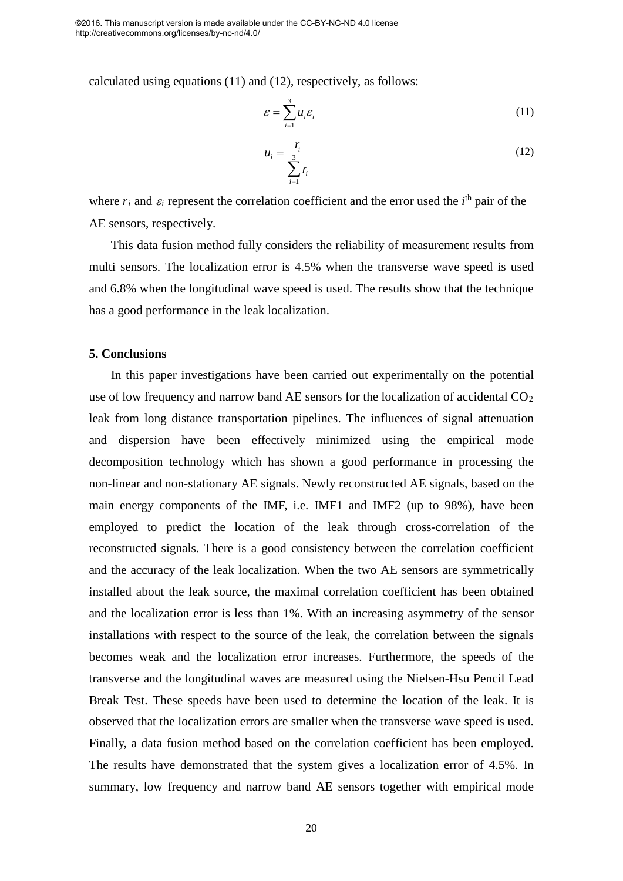calculated using equations (11) and (12), respectively, as follows:

$$
\varepsilon = \sum_{i=1}^{3} u_i \varepsilon_i \tag{11}
$$

$$
u_i = \frac{r_i}{\sum_{i=1}^{3} r_i} \tag{12}
$$

where  $r_i$  and  $\varepsilon_i$  represent the correlation coefficient and the error used the  $i^{\text{th}}$  pair of the AE sensors, respectively.

This data fusion method fully considers the reliability of measurement results from multi sensors. The localization error is 4.5% when the transverse wave speed is used and 6.8% when the longitudinal wave speed is used. The results show that the technique has a good performance in the leak localization.

#### **5. Conclusions**

In this paper investigations have been carried out experimentally on the potential use of low frequency and narrow band AE sensors for the localization of accidental  $CO<sub>2</sub>$ leak from long distance transportation pipelines. The influences of signal attenuation and dispersion have been effectively minimized using the empirical mode decomposition technology which has shown a good performance in processing the non-linear and non-stationary AE signals. Newly reconstructed AE signals, based on the main energy components of the IMF, i.e. IMF1 and IMF2 (up to 98%), have been employed to predict the location of the leak through cross-correlation of the reconstructed signals. There is a good consistency between the correlation coefficient and the accuracy of the leak localization. When the two AE sensors are symmetrically installed about the leak source, the maximal correlation coefficient has been obtained and the localization error is less than 1%. With an increasing asymmetry of the sensor installations with respect to the source of the leak, the correlation between the signals becomes weak and the localization error increases. Furthermore, the speeds of the transverse and the longitudinal waves are measured using the Nielsen-Hsu Pencil Lead Break Test. These speeds have been used to determine the location of the leak. It is observed that the localization errors are smaller when the transverse wave speed is used. Finally, a data fusion method based on the correlation coefficient has been employed. The results have demonstrated that the system gives a localization error of 4.5%. In summary, low frequency and narrow band AE sensors together with empirical mode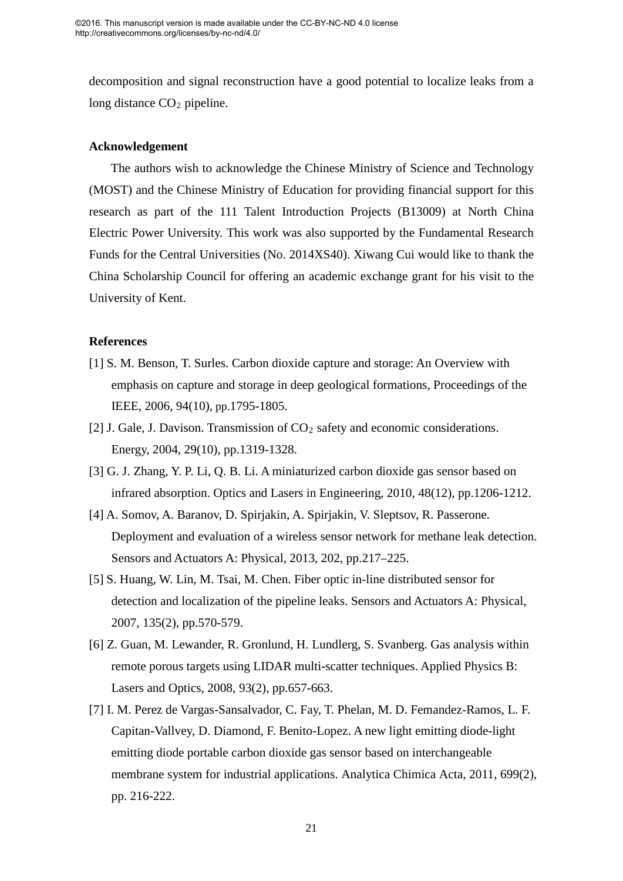decomposition and signal reconstruction have a good potential to localize leaks from a long distance  $CO<sub>2</sub>$  pipeline.

#### **Acknowledgement**

The authors wish to acknowledge the Chinese Ministry of Science and Technology (MOST) and the Chinese Ministry of Education for providing financial support for this research as part of the 111 Talent Introduction Projects (B13009) at North China Electric Power University. This work was also supported by the Fundamental Research Funds for the Central Universities (No. 2014XS40). Xiwang Cui would like to thank the China Scholarship Council for offering an academic exchange grant for his visit to the University of Kent.

#### **References**

- [1] S. M. Benson, T. Surles. Carbon dioxide capture and storage: An Overview with emphasis on capture and storage in deep geological formations, Proceedings of the IEEE, 2006, 94(10), pp.1795-1805.
- [2] J. Gale, J. Davison. Transmission of CO<sub>2</sub> safety and economic considerations. Energy, 2004, 29(10), pp.1319-1328.
- [3] G. J. Zhang, Y. P. Li, Q. B. Li. A miniaturized carbon dioxide gas sensor based on infrared absorption. Optics and Lasers in Engineering, 2010, 48(12), pp.1206-1212.
- [4] A. Somov, A. Baranov, D. Spirjakin, A. Spirjakin, V. Sleptsov, R. Passerone. Deployment and evaluation of a wireless sensor network for methane leak detection. Sensors and Actuators A: Physical, 2013, 202, pp.217–225.
- [5] S. Huang, W. Lin, M. Tsai, M. Chen. Fiber optic in-line distributed sensor for detection and localization of the pipeline leaks. Sensors and Actuators A: Physical, 2007, 135(2), pp.570-579.
- [6] Z. Guan, M. Lewander, R. Gronlund, H. Lundlerg, S. Svanberg. Gas analysis within remote porous targets using LIDAR multi-scatter techniques. Applied Physics B: Lasers and Optics, 2008, 93(2), pp.657-663.
- [7] I. M. Perez de Vargas-Sansalvador, C. Fay, T. Phelan, M. D. Femandez-Ramos, L. F. Capitan-Vallvey, D. Diamond, F. Benito-Lopez. A new light emitting diode-light emitting diode portable carbon dioxide gas sensor based on interchangeable membrane system for industrial applications. Analytica Chimica Acta, 2011, 699(2), pp. 216-222.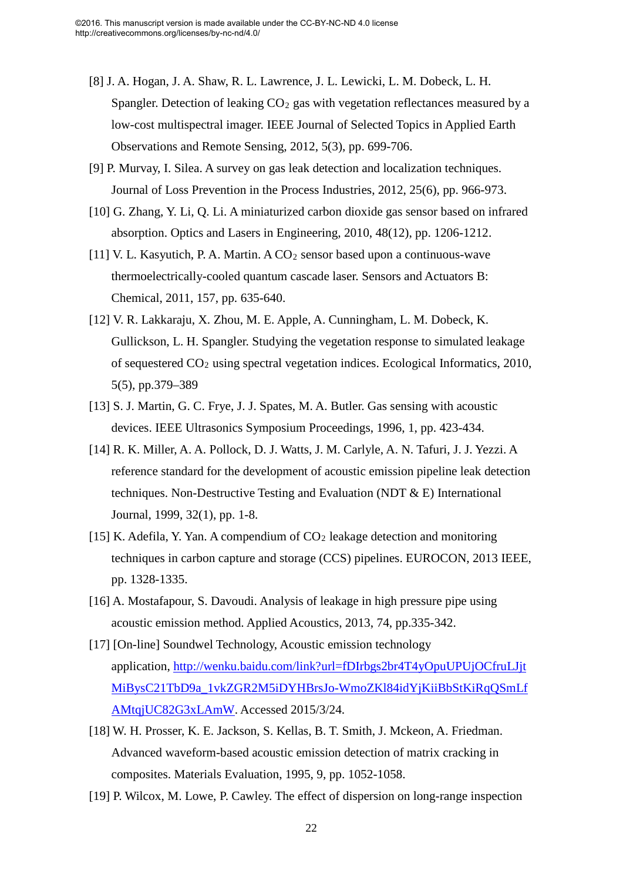- [8] J. A. Hogan, J. A. Shaw, R. L. Lawrence, J. L. Lewicki, L. M. Dobeck, L. H. Spangler. Detection of leaking  $CO<sub>2</sub>$  gas with vegetation reflectances measured by a low-cost multispectral imager. IEEE Journal of Selected Topics in Applied Earth Observations and Remote Sensing, 2012, 5(3), pp. 699-706.
- [9] P. Murvay, I. Silea. A survey on gas leak detection and localization techniques. Journal of Loss Prevention in the Process Industries, 2012, 25(6), pp. 966-973.
- [10] G. Zhang, Y. Li, Q. Li. A miniaturized carbon dioxide gas sensor based on infrared absorption. Optics and Lasers in Engineering, 2010, 48(12), pp. 1206-1212.
- [11] V. L. Kasyutich, P. A. Martin. A CO<sub>2</sub> sensor based upon a continuous-wave thermoelectrically-cooled quantum cascade laser. Sensors and Actuators B: Chemical, 2011, 157, pp. 635-640.
- [12] V. R. Lakkaraju, X. Zhou, M. E. Apple, A. Cunningham, L. M. Dobeck, K. Gullickson, L. H. Spangler. Studying the vegetation response to simulated leakage of sequestered CO2 using spectral vegetation indices. Ecological Informatics, 2010, 5(5), pp.379–389
- [13] S. J. Martin, G. C. Frye, J. J. Spates, M. A. Butler. Gas sensing with acoustic devices. IEEE Ultrasonics Symposium Proceedings, 1996, 1, pp. 423-434.
- [14] R. K. Miller, A. A. Pollock, D. J. Watts, J. M. Carlyle, A. N. Tafuri, J. J. Yezzi. A reference standard for the development of acoustic emission pipeline leak detection techniques. Non-Destructive Testing and Evaluation (NDT & E) International Journal, 1999, 32(1), pp. 1-8.
- [15] K. Adefila, Y. Yan. A compendium of  $CO<sub>2</sub>$  leakage detection and monitoring techniques in carbon capture and storage (CCS) pipelines. EUROCON, 2013 IEEE, pp. 1328-1335.
- [16] A. Mostafapour, S. Davoudi. Analysis of leakage in high pressure pipe using acoustic emission method. Applied Acoustics, 2013, 74, pp.335-342.
- [17] [On-line] Soundwel Technology, Acoustic emission technology application, [http://wenku.baidu.com/link?url=fDIrbgs2br4T4yOpuUPUjOCfruLJjt](http://wenku.baidu.com/link?url=fDIrbgs2br4T4yOpuUPUjOCfruLJjtMiBysC21TbD9a_1vkZGR2M5iDYHBrsJo-WmoZKl84idYjKiiBbStKiRqQSmLfAMtqjUC82G3xLAmW) [MiBysC21TbD9a\\_1vkZGR2M5iDYHBrsJo-WmoZKl84idYjKiiBbStKiRqQSmLf](http://wenku.baidu.com/link?url=fDIrbgs2br4T4yOpuUPUjOCfruLJjtMiBysC21TbD9a_1vkZGR2M5iDYHBrsJo-WmoZKl84idYjKiiBbStKiRqQSmLfAMtqjUC82G3xLAmW) [AMtqjUC82G3xLAmW.](http://wenku.baidu.com/link?url=fDIrbgs2br4T4yOpuUPUjOCfruLJjtMiBysC21TbD9a_1vkZGR2M5iDYHBrsJo-WmoZKl84idYjKiiBbStKiRqQSmLfAMtqjUC82G3xLAmW) Accessed 2015/3/24.
- [18] W. H. Prosser, K. E. Jackson, S. Kellas, B. T. Smith, J. Mckeon, A. Friedman. Advanced waveform-based acoustic emission detection of matrix cracking in composites. Materials Evaluation, 1995, 9, pp. 1052-1058.
- [19] P. Wilcox, M. Lowe, P. Cawley. The effect of dispersion on long-range inspection